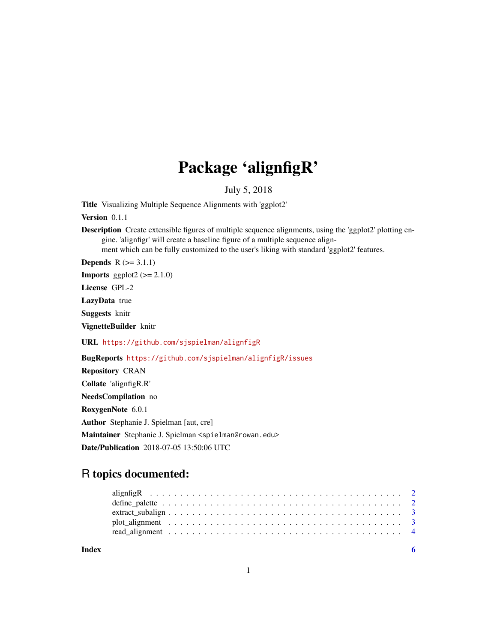## Package 'alignfigR'

July 5, 2018

Title Visualizing Multiple Sequence Alignments with 'ggplot2'

Version 0.1.1

Description Create extensible figures of multiple sequence alignments, using the 'ggplot2' plotting engine. 'alignfigr' will create a baseline figure of a multiple sequence alignment which can be fully customized to the user's liking with standard 'ggplot2' features.

**Depends**  $R$  ( $>= 3.1.1$ )

**Imports** ggplot2  $(>= 2.1.0)$ 

License GPL-2

LazyData true

Suggests knitr

VignetteBuilder knitr

URL <https://github.com/sjspielman/alignfigR>

BugReports <https://github.com/sjspielman/alignfigR/issues>

Repository CRAN Collate 'alignfigR.R' NeedsCompilation no RoxygenNote 6.0.1 Author Stephanie J. Spielman [aut, cre] Maintainer Stephanie J. Spielman <spielman@rowan.edu> Date/Publication 2018-07-05 13:50:06 UTC

### R topics documented:

| $\text{extract\_subalign$ |  |
|---------------------------|--|
|                           |  |
|                           |  |
|                           |  |

**Index** [6](#page-5-0) **6**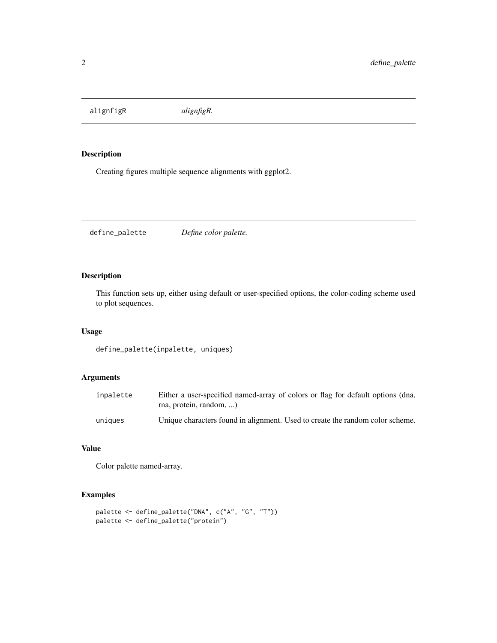<span id="page-1-0"></span>alignfigR *alignfigR.*

#### Description

Creating figures multiple sequence alignments with ggplot2.

define\_palette *Define color palette.*

#### Description

This function sets up, either using default or user-specified options, the color-coding scheme used to plot sequences.

#### Usage

define\_palette(inpalette, uniques)

#### Arguments

| inpalette | Either a user-specified named-array of colors or flag for default options (dna,<br>rna, protein, random, |
|-----------|----------------------------------------------------------------------------------------------------------|
| uniques   | Unique characters found in alignment. Used to create the random color scheme.                            |

#### Value

Color palette named-array.

#### Examples

```
palette <- define_palette("DNA", c("A", "G", "T"))
palette <- define_palette("protein")
```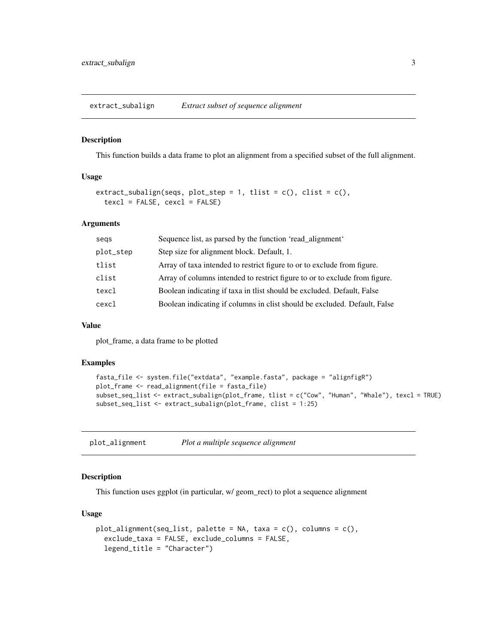<span id="page-2-0"></span>extract\_subalign *Extract subset of sequence alignment*

#### Description

This function builds a data frame to plot an alignment from a specified subset of the full alignment.

#### Usage

```
extract_subalign(seqs, plot_step = 1, tlist = c(), clist = c(),
  textcl = FALSE, \text{cexcl} = FALSE)
```
#### Arguments

| segs      | Sequence list, as parsed by the function 'read_alignment'                  |
|-----------|----------------------------------------------------------------------------|
| plot_step | Step size for alignment block. Default, 1.                                 |
| tlist     | Array of taxa intended to restrict figure to or to exclude from figure.    |
| clist     | Array of columns intended to restrict figure to or to exclude from figure. |
| texcl     | Boolean indicating if taxa in thist should be excluded. Default, False     |
| cexcl     | Boolean indicating if columns in clist should be excluded. Default, False  |

#### Value

plot\_frame, a data frame to be plotted

#### Examples

```
fasta_file <- system.file("extdata", "example.fasta", package = "alignfigR")
plot_frame <- read_alignment(file = fasta_file)
subset_seq_list <- extract_subalign(plot_frame, tlist = c("Cow", "Human", "Whale"), texcl = TRUE)
subset_seq_list <- extract_subalign(plot_frame, clist = 1:25)
```

| plot_alignment |  | Plot a multiple sequence alignment |
|----------------|--|------------------------------------|
|----------------|--|------------------------------------|

#### Description

This function uses ggplot (in particular, w/ geom\_rect) to plot a sequence alignment

#### Usage

```
plot_alignment(seq_list, palette = NA, taxa = c(), columns = c(),
  exclude_taxa = FALSE, exclude_columns = FALSE,
  legend_title = "Character")
```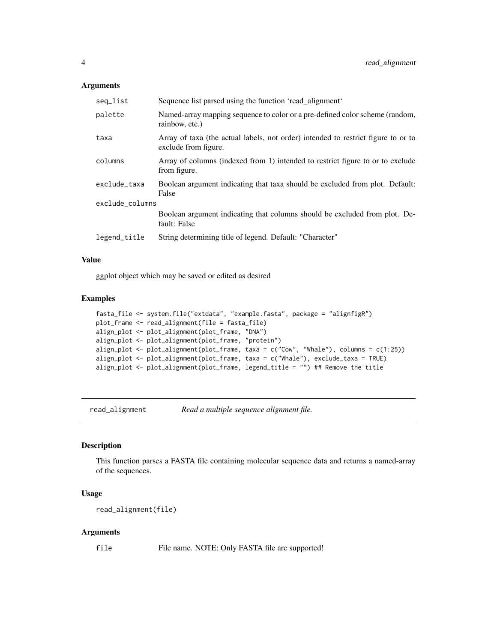#### <span id="page-3-0"></span>Arguments

| seq_list        | Sequence list parsed using the function 'read_alignment'                                                  |  |  |  |
|-----------------|-----------------------------------------------------------------------------------------------------------|--|--|--|
| palette         | Named-array mapping sequence to color or a pre-defined color scheme (random,<br>rainbow, etc.)            |  |  |  |
| taxa            | Array of taxa (the actual labels, not order) intended to restrict figure to or to<br>exclude from figure. |  |  |  |
| columns         | Array of columns (indexed from 1) intended to restrict figure to or to exclude<br>from figure.            |  |  |  |
| exclude_taxa    | Boolean argument indicating that taxa should be excluded from plot. Default:<br>False                     |  |  |  |
| exclude_columns |                                                                                                           |  |  |  |
|                 | Boolean argument indicating that columns should be excluded from plot. De-<br>fault: False                |  |  |  |
| legend_title    | String determining title of legend. Default: "Character"                                                  |  |  |  |

#### Value

ggplot object which may be saved or edited as desired

#### Examples

```
fasta_file <- system.file("extdata", "example.fasta", package = "alignfigR")
plot_frame <- read_alignment(file = fasta_file)
align_plot <- plot_alignment(plot_frame, "DNA")
align_plot <- plot_alignment(plot_frame, "protein")
align_plot <- plot_alignment(plot_frame, taxa = c("Cow", "Whale"), columns = c(1:25))
align_plot <- plot_alignment(plot_frame, taxa = c("Whale"), exclude_taxa = TRUE)
align_plot <- plot_alignment(plot_frame, legend_title = "") ## Remove the title
```
read\_alignment *Read a multiple sequence alignment file.*

#### Description

This function parses a FASTA file containing molecular sequence data and returns a named-array of the sequences.

#### Usage

```
read_alignment(file)
```
#### Arguments

file File name. NOTE: Only FASTA file are supported!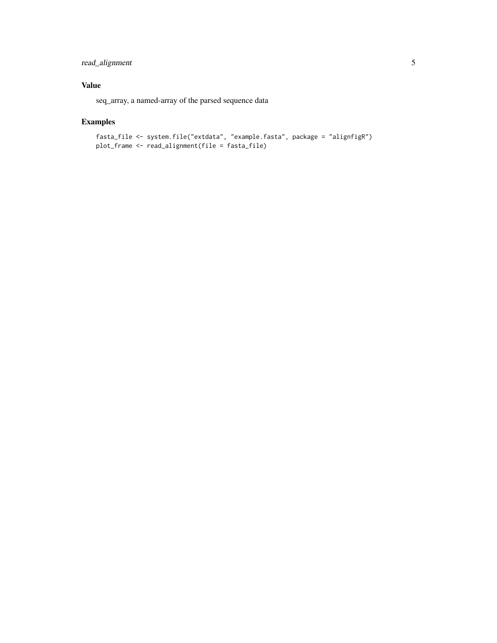#### read\_alignment 5

#### Value

seq\_array, a named-array of the parsed sequence data

#### Examples

```
fasta_file <- system.file("extdata", "example.fasta", package = "alignfigR")
plot_frame <- read_alignment(file = fasta_file)
```